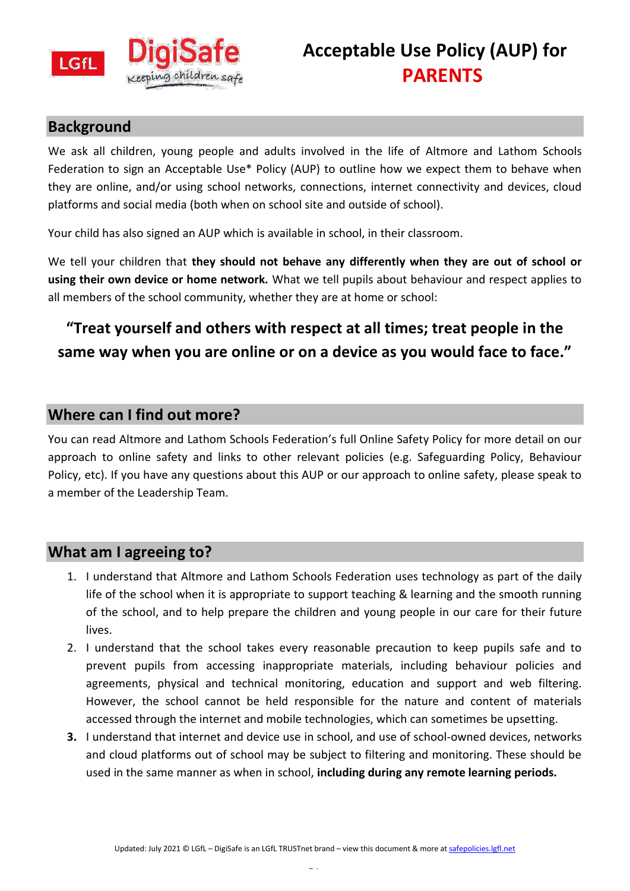

## **Background**

We ask all children, young people and adults involved in the life of Altmore and Lathom Schools Federation to sign an Acceptable Use\* Policy (AUP) to outline how we expect them to behave when they are online, and/or using school networks, connections, internet connectivity and devices, cloud platforms and social media (both when on school site and outside of school).

Your child has also signed an AUP which is available in school, in their classroom.

We tell your children that **they should not behave any differently when they are out of school or using their own device or home network.** What we tell pupils about behaviour and respect applies to all members of the school community, whether they are at home or school:

## **"Treat yourself and others with respect at all times; treat people in the same way when you are online or on a device as you would face to face."**

## **Where can I find out more?**

You can read Altmore and Lathom Schools Federation's full Online Safety Policy for more detail on our approach to online safety and links to other relevant policies (e.g. Safeguarding Policy, Behaviour Policy, etc). If you have any questions about this AUP or our approach to online safety, please speak to a member of the Leadership Team.

## **What am I agreeing to?**

- 1. I understand that Altmore and Lathom Schools Federation uses technology as part of the daily life of the school when it is appropriate to support teaching & learning and the smooth running of the school, and to help prepare the children and young people in our care for their future lives.
- 2. I understand that the school takes every reasonable precaution to keep pupils safe and to prevent pupils from accessing inappropriate materials, including behaviour policies and agreements, physical and technical monitoring, education and support and web filtering. However, the school cannot be held responsible for the nature and content of materials accessed through the internet and mobile technologies, which can sometimes be upsetting.
- **3.** I understand that internet and device use in school, and use of school-owned devices, networks and cloud platforms out of school may be subject to filtering and monitoring. These should be used in the same manner as when in school, **including during any remote learning periods.**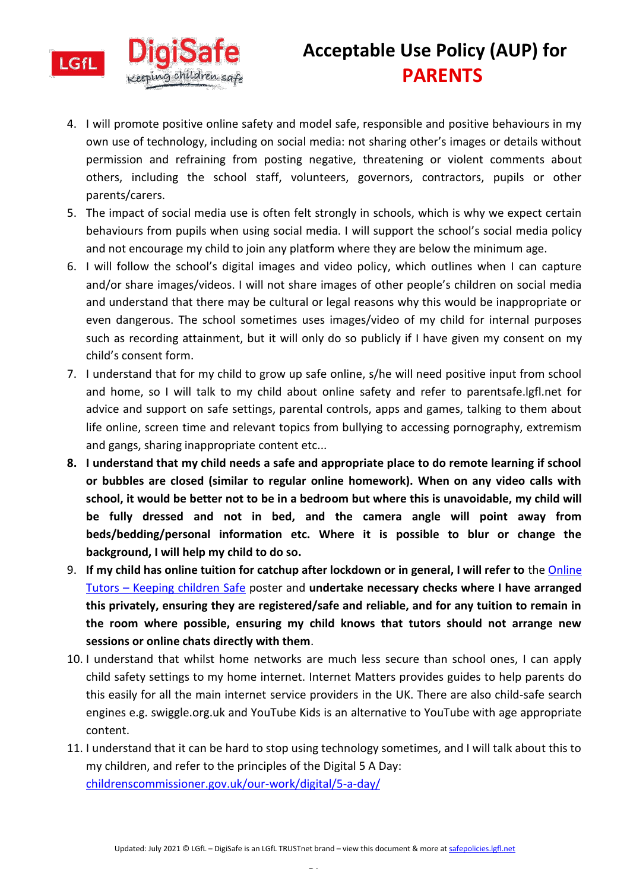

- 4. I will promote positive online safety and model safe, responsible and positive behaviours in my own use of technology, including on social media: not sharing other's images or details without permission and refraining from posting negative, threatening or violent comments about others, including the school staff, volunteers, governors, contractors, pupils or other parents/carers.
- 5. The impact of social media use is often felt strongly in schools, which is why we expect certain behaviours from pupils when using social media. I will support the school's social media policy and not encourage my child to join any platform where they are below the minimum age.
- 6. I will follow the school's digital images and video policy, which outlines when I can capture and/or share images/videos. I will not share images of other people's children on social media and understand that there may be cultural or legal reasons why this would be inappropriate or even dangerous. The school sometimes uses images/video of my child for internal purposes such as recording attainment, but it will only do so publicly if I have given my consent on my child's consent form.
- 7. I understand that for my child to grow up safe online, s/he will need positive input from school and home, so I will talk to my child about online safety and refer to parentsafe.lgfl.net for advice and support on safe settings, parental controls, apps and games, talking to them about life online, screen time and relevant topics from bullying to accessing pornography, extremism and gangs, sharing inappropriate content etc...
- **8. I understand that my child needs a safe and appropriate place to do remote learning if school or bubbles are closed (similar to regular online homework). When on any video calls with school, it would be better not to be in a bedroom but where this is unavoidable, my child will be fully dressed and not in bed, and the camera angle will point away from beds/bedding/personal information etc. Where it is possible to blur or change the background, I will help my child to do so.**
- 9. **If my child has online tuition for catchup after lockdown or in general, I will refer to** the [Online](https://static.lgfl.net/LgflNet/downloads/online-safety/posters/LGfL-DigiSafe-Online-Tutors-Safeguarding-Guidance.pdf)  Tutors – [Keeping children Safe](https://static.lgfl.net/LgflNet/downloads/online-safety/posters/LGfL-DigiSafe-Online-Tutors-Safeguarding-Guidance.pdf) poster and **undertake necessary checks where I have arranged this privately, ensuring they are registered/safe and reliable, and for any tuition to remain in the room where possible, ensuring my child knows that tutors should not arrange new sessions or online chats directly with them**.
- 10. I understand that whilst home networks are much less secure than school ones, I can apply child safety settings to my home internet. Internet Matters provides guides to help parents do this easily for all the main internet service providers in the UK. There are also child-safe search engines e.g. swiggle.org.uk and YouTube Kids is an alternative to YouTube with age appropriate content.
- 11. I understand that it can be hard to stop using technology sometimes, and I will talk about this to my children, and refer to the principles of the Digital 5 A Day: [childrenscommissioner.gov.uk/our-work/digital/5-a-day/](https://www.childrenscommissioner.gov.uk/our-work/digital/5-a-day/)